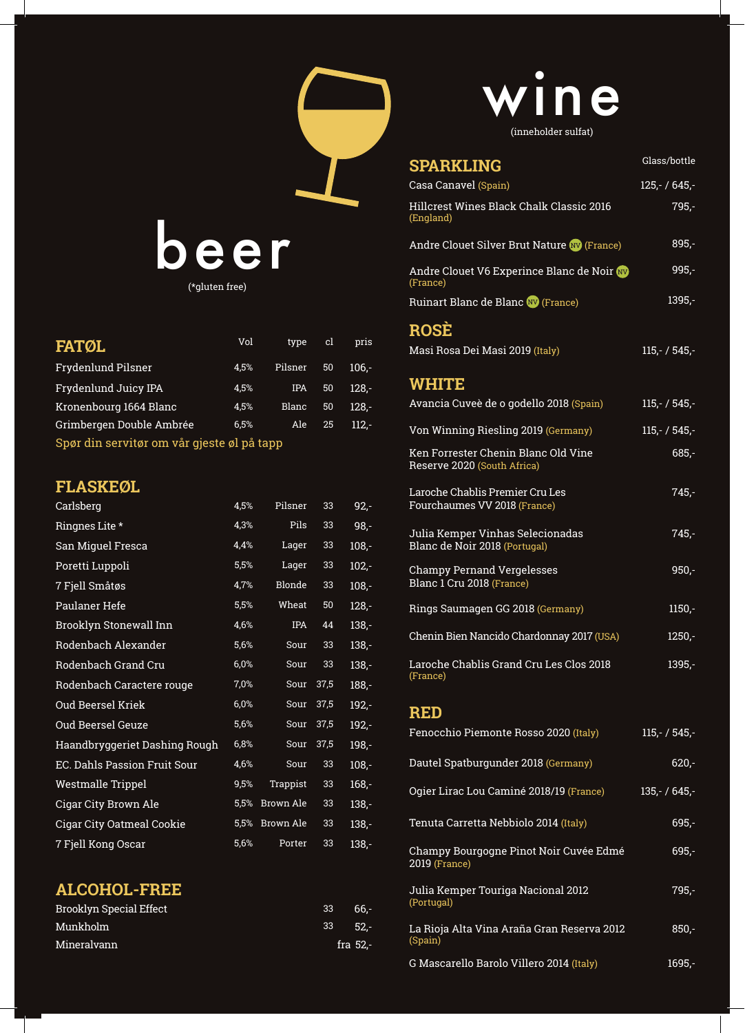

(\*gluten free)

| <b>FATØL</b>                               | Vol  | type    | <b>GI</b> | pris    |  |
|--------------------------------------------|------|---------|-----------|---------|--|
| Frydenlund Pilsner                         | 4.5% | Pilsner | 50        | $106 -$ |  |
| Frydenlund Juicy IPA                       | 4,5% | IPA     | 50        | 128.-   |  |
| Kronenbourg 1664 Blanc                     | 4.5% | Blanc   | 50        | $128 -$ |  |
| Grimbergen Double Ambrée                   | 6.5% | Ale     | 25        | $112 -$ |  |
| Snar din carvitar om vår gjeste al på tann |      |         |           |         |  |

Spør din servitør om vår gjeste øl på tapp

## **FLASKEØL**

| Carlsberg                        | 4,5% | Pilsner       | 33   | $92 -$  |
|----------------------------------|------|---------------|------|---------|
| Ringnes Lite *                   | 4,3% | Pils          | 33   | 98,-    |
| San Miguel Fresca                | 4,4% | Lager         | 33   | $108,-$ |
| Poretti Luppoli                  | 5,5% | Lager         | 33   | $102,-$ |
| 7 Fjell Småtøs                   | 4,7% | <b>Blonde</b> | 33   | $108,-$ |
| Paulaner Hefe                    | 5,5% | Wheat         | 50   | $128 -$ |
| Brooklyn Stonewall Inn           | 4,6% | <b>IPA</b>    | 44   | $138,-$ |
| Rodenbach Alexander              | 5,6% | Sour          | 33   | $138,-$ |
| Rodenbach Grand Cru              | 6,0% | Sour          | 33   | $138,-$ |
| Rodenbach Caractere rouge        | 7,0% | Sour          | 37,5 | $188,-$ |
| Oud Beersel Kriek                | 6,0% | Sour          | 37,5 | $192,-$ |
| Oud Beersel Geuze                | 5,6% | Sour          | 37,5 | $192 -$ |
| Haandbryggeriet Dashing Rough    | 6,8% | Sour          | 37,5 | $198 -$ |
| EC. Dahls Passion Fruit Sour     | 4,6% | Sour          | 33   | $108,-$ |
| Westmalle Trippel                | 9,5% | Trappist      | 33   | $168 -$ |
| Cigar City Brown Ale             | 5,5% | Brown Ale     | 33   | $138,-$ |
| <b>Cigar City Oatmeal Cookie</b> | 5,5% | Brown Ale     | 33   | $138,-$ |
| 7 Fjell Kong Oscar               | 5,6% | Porter        | 33   | $138 -$ |

## **ALCOHOL-FREE**

| <b>Brooklyn Special Effect</b> | 33      | - 66.-     |
|--------------------------------|---------|------------|
| Munkholm                       | 33 52.- |            |
| Mineralvann                    |         | fra $52$ . |

## ne (inneholder sulfat)

| <b>SPARKLING</b>                                                   | Glass/bottle    |
|--------------------------------------------------------------------|-----------------|
| Casa Canavel (Spain)                                               | $125 - 645 -$   |
| Hillcrest Wines Black Chalk Classic 2016<br>(England)              | 795,-           |
| Andre Clouet Silver Brut Nature WV (France)                        | $895 -$         |
| Andre Clouet V6 Experince Blanc de Noir W<br>(France)              | $995 -$         |
| Ruinart Blanc de Blanc W (France)                                  | $1395 -$        |
| <b>ROSE</b>                                                        |                 |
| Masi Rosa Dei Masi 2019 (Italy)                                    | $115,- / 545,-$ |
| <b>WHITE</b>                                                       |                 |
| Avancia Cuveè de o godello 2018 (Spain)                            | $115 - 7545 -$  |
| Von Winning Riesling 2019 (Germany)                                | $115,- / 545,-$ |
| Ken Forrester Chenin Blanc Old Vine<br>Reserve 2020 (South Africa) | $685 -$         |
| Laroche Chablis Premier Cru Les<br>Fourchaumes VV 2018 (France)    | $745 -$         |
| Julia Kemper Vinhas Selecionadas<br>Blanc de Noir 2018 (Portugal)  | $745 -$         |
| <b>Champy Pernand Vergelesses</b><br>Blanc 1 Cru 2018 (France)     | $950 -$         |
| Rings Saumagen GG 2018 (Germany)                                   | $1150 -$        |
| Chenin Bien Nancido Chardonnay 2017 (USA)                          | $1250 -$        |
| Laroche Chablis Grand Cru Les Clos 2018<br>(France)                | $1395 -$        |
| <b>RED</b>                                                         |                 |
| Fenocchio Piemonte Rosso 2020 (Italy)                              | $115 - 7545 -$  |
| Dautel Spatburgunder 2018 (Germany)                                | $620 -$         |
| Ogier Lirac Lou Caminé 2018/19 (France)                            | $135 - 645 -$   |
| Tenuta Carretta Nebbiolo 2014 (Italy)                              | $695 -$         |
| Champy Bourgogne Pinot Noir Cuvée Edmé<br>2019 (France)            | $695 -$         |
| Julia Kemper Touriga Nacional 2012<br>(Portugal)                   | 795,-           |
| La Rioja Alta Vina Araña Gran Reserva 2012<br>(Spain)              | $850,-$         |

G Mascarello Barolo Villero 2014 (Italy) 1695,-